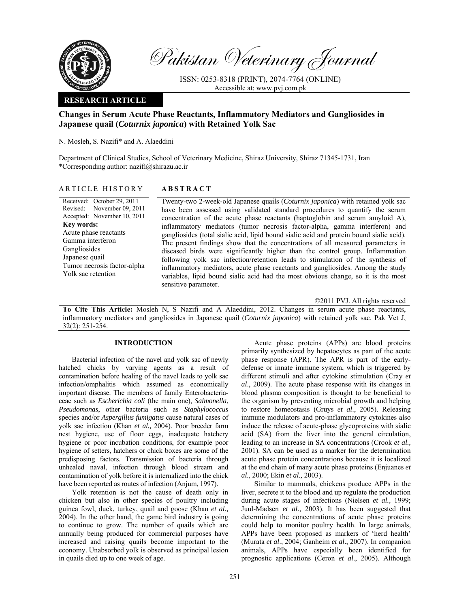

Pakistan Veterinary Journal

ISSN: 0253-8318 (PRINT), 2074-7764 (ONLINE) Accessible at: www.pvj.com.pk

# **RESEARCH ARTICLE**

# **Changes in Serum Acute Phase Reactants, Inflammatory Mediators and Gangliosides in Japanese quail (***Coturnix japonica***) with Retained Yolk Sac**

N. Mosleh, S. Nazifi\* and A. Alaeddini

Department of Clinical Studies, School of Veterinary Medicine, Shiraz University, Shiraz 71345-1731, Iran \*Corresponding author: nazifi@shirazu.ac.ir

Received: October 29, 2011 Revised: Accepted: November 10, 2011 November 09, 2011 **Key words:**  Acute phase reactants Gamma interferon Gangliosides Japanese quail Tumor necrosis factor-alpha Yolk sac retention

## ARTICLE HISTORY **ABSTRACT**

Twenty-two 2-week-old Japanese quails (*Coturnix japonica*) with retained yolk sac have been assessed using validated standard procedures to quantify the serum concentration of the acute phase reactants (haptoglobin and serum amyloid A), inflammatory mediators (tumor necrosis factor-alpha, gamma interferon) and gangliosides (total sialic acid, lipid bound sialic acid and protein bound sialic acid). The present findings show that the concentrations of all measured parameters in diseased birds were significantly higher than the control group. Inflammation following yolk sac infection/retention leads to stimulation of the synthesis of inflammatory mediators, acute phase reactants and gangliosides. Among the study variables, lipid bound sialic acid had the most obvious change, so it is the most sensitive parameter.

©2011 PVJ. All rights reserved

**To Cite This Article:** Mosleh N, S Nazifi and A Alaeddini, 2012. Changes in serum acute phase reactants, inflammatory mediators and gangliosides in Japanese quail (*Coturnix japonica*) with retained yolk sac. Pak Vet J, 32(2): 251-254.

## **INTRODUCTION**

Bacterial infection of the navel and yolk sac of newly hatched chicks by varying agents as a result of contamination before healing of the navel leads to yolk sac infection/omphalitis which assumed as economically important disease. The members of family Enterobacteriaceae such as *Escherichia coli* (the main one), *Salmonella*, *Pseudomonas*, other bacteria such as *Staphylococcus* species and/or *Aspergillus fumigatus* cause natural cases of yolk sac infection (Khan *et al.,* 2004). Poor breeder farm nest hygiene, use of floor eggs, inadequate hatchery hygiene or poor incubation conditions, for example poor hygiene of setters, hatchers or chick boxes are some of the predisposing factors. Transmission of bacteria through unhealed naval, infection through blood stream and contamination of yolk before it is internalized into the chick have been reported as routes of infection (Anjum, 1997).

Yolk retention is not the cause of death only in chicken but also in other species of poultry including guinea fowl, duck, turkey, quail and goose (Khan *et al.,* 2004). In the other hand, the game bird industry is going to continue to grow. The number of quails which are annually being produced for commercial purposes have increased and raising quails become important to the economy. Unabsorbed yolk is observed as principal lesion in quails died up to one week of age.

Acute phase proteins (APPs) are blood proteins primarily synthesized by hepatocytes as part of the acute phase response (APR). The APR is part of the earlydefense or innate immune system, which is triggered by different stimuli and after cytokine stimulation (Cray *et al*., 2009). The acute phase response with its changes in blood plasma composition is thought to be beneficial to the organism by preventing microbial growth and helping to restore homeostasis (Gruys *et al*., 2005). Releasing immune modulators and pro-inflammatory cytokines also induce the release of acute-phase glycoproteins with sialic acid (SA) from the liver into the general circulation, leading to an increase in SA concentrations (Crook *et al.,* 2001). SA can be used as a marker for the determination acute phase protein concentrations because it is localized at the end chain of many acute phase proteins (Enjuanes *et al.,* 2000; Ekin *et al.,* 2003).

Similar to mammals, chickens produce APPs in the liver, secrete it to the blood and up regulate the production during acute stages of infections (Nielsen *et al.,* 1999; Juul-Madsen *et al.,* 2003). It has been suggested that determining the concentrations of acute phase proteins could help to monitor poultry health. In large animals, APPs have been proposed as markers of 'herd health' (Murata *et al*., 2004; Ganheim *et al*., 2007). In companion animals, APPs have especially been identified for prognostic applications (Ceron *et al*., 2005). Although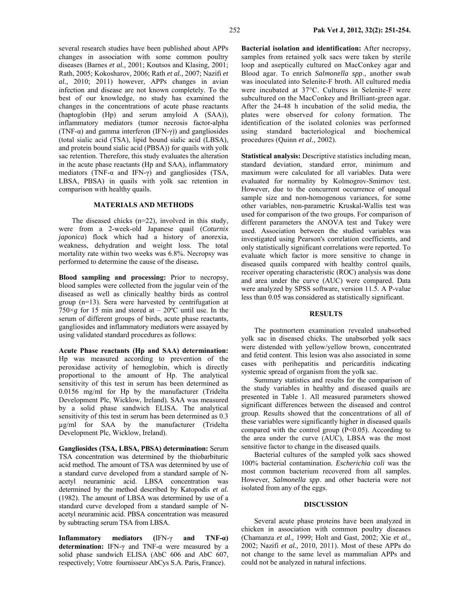several research studies have been published about APPs changes in association with some common poultry diseases (Barnes *et al.,* 2001; Koutsos and Klasing, 2001; Rath, 2005; Kokosharov, 2006; Rath *et al.,* 2007; Nazifi *et al.,* 2010; 2011) however, APPs changes in avian infection and disease are not known completely. To the best of our knowledge, no study has examined the changes in the concentrations of acute phase reactants (haptoglobin (Hp) and serum amyloid A (SAA)), inflammatory mediators (tumor necrosis factor-alpha (TNF- $\alpha$ ) and gamma interferon (IFN- $\gamma$ )) and gangliosides (total sialic acid (TSA), lipid bound sialic acid (LBSA), and protein bound sialic acid (PBSA)) for quails with yolk sac retention. Therefore, this study evaluates the alteration in the acute phase reactants (Hp and SAA), inflammatory mediators (TNF-α and IFN-γ) and gangliosides (TSA, LBSA, PBSA) in quails with yolk sac retention in comparison with healthy quails.

## **MATERIALS AND METHODS**

The diseased chicks (n=22), involved in this study, were from a 2-week-old Japanese quail (*Coturnix japonica*) flock which had a history of anorexia, weakness, dehydration and weight loss. The total mortality rate within two weeks was 6.8%. Necropsy was performed to determine the cause of the disease**.** 

**Blood sampling and processing:** Prior to necropsy, blood samples were collected from the jugular vein of the diseased as well as clinically healthy birds as control group (n=13). Sera were harvested by centrifugation at 750 $\times$ *g* for 15 min and stored at – 20 $\degree$ C until use. In the serum of different groups of birds, acute phase reactants, gangliosides and inflammatory mediators were assayed by using validated standard procedures as follows:

**Acute Phase reactants (Hp and SAA) determination:**  Hp was measured according to prevention of the peroxidase activity of hemoglobin, which is directly proportional to the amount of Hp. The analytical sensitivity of this test in serum has been determined as 0.0156 mg/ml for Hp by the manufacturer (Tridelta Development Plc, Wicklow, Ireland). SAA was measured by a solid phase sandwich ELISA. The analytical sensitivity of this test in serum has been determined as 0.3 µg/ml for SAA by the manufacturer (Tridelta Development Plc, Wicklow, Ireland).

**Gangliosides (TSA, LBSA, PBSA) determination:** Serum TSA concentration was determined by the thiobarbituric acid method. The amount of TSA was determined by use of a standard curve developed from a standard sample of Nacetyl neuraminic acid. LBSA concentration was determined by the method described by Katopodis *et al.* (1982). The amount of LBSA was determined by use of a standard curve developed from a standard sample of Nacetyl neuraminic acid. PBSA concentration was measured by subtracting serum TSA from LBSA.

**Inflammatory mediators (**IFN-γ **and TNF-α) determination:** IFN-γ and TNF-α were measured by a solid phase sandwich ELISA (AbC 606 and AbC 607, respectively; Votre fournisseur AbCys S.A. Paris, France).

**Bacterial isolation and identification:** After necropsy, samples from retained yolk sacs were taken by sterile loop and aseptically cultured on MacConkey agar and Blood agar. To enrich *Salmonella spp*., another swab was inoculated into Selenite-F broth. All cultured media were incubated at 37°C. Cultures in Selenite-F were subcultured on the MacConkey and Brilliant-green agar. After the 24-48 h incubation of the solid media, the plates were observed for colony formation. The identification of the isolated colonies was performed using standard bacteriological and biochemical procedures (Quinn *et al.,* 2002).

**Statistical analysis:** Descriptive statistics including mean, standard deviation, standard error, minimum and maximum were calculated for all variables. Data were evaluated for normality by Kolmogrov-Smirnov test. However, due to the concurrent occurrence of unequal sample size and non-homogenous variances, for some other variables, non-parametric Kruskal-Wallis test was used for comparison of the two groups. For comparison of different parameters the ANOVA test and Tukey were used. Association between the studied variables was investigated using Pearson's correlation coefficients, and only statistically significant correlations were reported. To evaluate which factor is more sensitive to change in diseased quails compared with healthy control quails, receiver operating characteristic (ROC) analysis was done and area under the curve (AUC) were compared. Data were analyzed by SPSS software, version 11.5. A P-value less than 0.05 was considered as statistically significant.

#### **RESULTS**

The postmortem examination revealed unabsorbed yolk sac in diseased chicks. The unabsorbed yolk sacs were distended with yellow/yellow brown, concentrated and fetid content. This lesion was also associated in some cases with perihepatitis and pericarditis indicating systemic spread of organism from the yolk sac.

Summary statistics and results for the comparison of the study variables in healthy and diseased quails are presented in Table 1. All measured parameters showed significant differences between the diseased and control group. Results showed that the concentrations of all of these variables were significantly higher in diseased quails compared with the control group  $(P<0.05)$ . According to the area under the curve (AUC), LBSA was the most sensitive factor to change in the diseased quails.

Bacterial cultures of the sampled yolk sacs showed 100% bacterial contamination. *Escherichia coli* was the most common bacterium recovered from all samples. However, *Salmonella spp*. and other bacteria were not isolated from any of the eggs.

#### **DISCUSSION**

Several acute phase proteins have been analyzed in chicken in association with common poultry diseases (Chamanza *et al.,* 1999; Holt and Gast, 2002; Xie *et al.,* 2002; Nazifi *et al.,* 2010, 2011). Most of these APPs do not change to the same level as mammalian APPs and could not be analyzed in natural infections.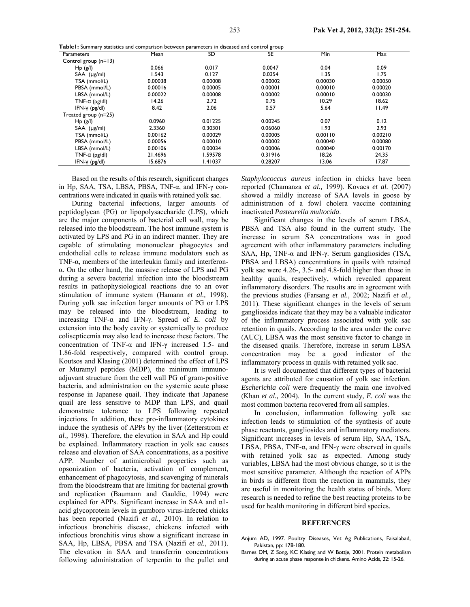| Parameters             | Mean    | SD      | SE      | Min     | Max     |
|------------------------|---------|---------|---------|---------|---------|
| Control group $(n=13)$ |         |         |         |         |         |
| Hp(g/l)                | 0.066   | 0.017   | 0.0047  | 0.04    | 0.09    |
| $SAA$ ( $\mu$ g/ml)    | 1.543   | 0.127   | 0.0354  | 1.35    | 1.75    |
| TSA (mmol/L)           | 0.00038 | 0.00008 | 0.00002 | 0.00030 | 0.00050 |
| PBSA (mmol/L)          | 0.00016 | 0.00005 | 0.00001 | 0.00010 | 0.00020 |
| LBSA (mmol/L)          | 0.00022 | 0.00008 | 0.00002 | 0.00010 | 0.00030 |
| TNF- $\alpha$ (pg/dl)  | 14.26   | 2.72    | 0.75    | 10.29   | 18.62   |
| $IFN-Y$ ( $pg/dl$ )    | 8.42    | 2.06    | 0.57    | 5.64    | 11.49   |
| Treated group (n=25)   |         |         |         |         |         |
| Hp (g/l)               | 0.0960  | 0.01225 | 0.00245 | 0.07    | 0.12    |
| $SAA$ ( $\mu$ g/ml)    | 2.3360  | 0.30301 | 0.06060 | 1.93    | 2.93    |
| TSA (mmol/L)           | 0.00162 | 0.00029 | 0.00005 | 0.00110 | 0.00210 |
| PBSA (mmol/L)          | 0.00056 | 0.00010 | 0.00002 | 0.00040 | 0.00080 |
| LBSA (mmol/L)          | 0.00106 | 0.00034 | 0.00006 | 0.00040 | 0.00170 |
| TNF- $\alpha$ (pg/dl)  | 21.4696 | 1.59578 | 0.31916 | 18.26   | 24.35   |
| $IFN-Y$ ( $pg/dl$ )    | 15.6876 | 1.41037 | 0.28207 | 13.06   | 17.87   |

**Table1:** Summary statistics and comparison between parameters in diseased and control group

Based on the results of this research, significant changes in Hp, SAA, TSA, LBSA, PBSA, TNF-α, and IFN-γ concentrations were indicated in quails with retained yolk sac.

During bacterial infections, larger amounts of peptidoglycan (PG) or lipopolysaccharide (LPS), which are the major components of bacterial cell wall, may be released into the bloodstream. The host immune system is activated by LPS and PG in an indirect manner. They are capable of stimulating mononuclear phagocytes and endothelial cells to release immune modulators such as TNF-α, members of the interleukin family and interferonα. On the other hand, the massive release of LPS and PG during a severe bacterial infection into the bloodstream results in pathophysiological reactions due to an over stimulation of immune system (Hamann *et al.,* 1998). During yolk sac infection larger amounts of PG or LPS may be released into the bloodstream, leading to increasing TNF-α and IFN-γ. Spread of *E. coli* by extension into the body cavity or systemically to produce colisepticemia may also lead to increase these factors. The concentration of TNF-α and IFN-γ increased 1.5- and 1.86-fold respectively, compared with control group. Koutsos and Klasing (2001) determined the effect of LPS or Muramyl peptides (MDP), the minimum immunoadjuvant structure from the cell wall PG of gram-positive bacteria, and administration on the systemic acute phase response in Japanese quail. They indicate that Japanese quail are less sensitive to MDP than LPS, and quail demonstrate tolerance to LPS following repeated injections. In addition, these pro-inflammatory cytokines induce the synthesis of APPs by the liver (Zetterstrom *et al.,* 1998). Therefore, the elevation in SAA and Hp could be explained. Inflammatory reaction in yolk sac causes release and elevation of SAA concentrations, as a positive APP. Number of antimicrobial properties such as opsonization of bacteria, activation of complement, enhancement of phagocytosis, and scavenging of minerals from the bloodstream that are limiting for bacterial growth and replication (Baumann and Gauldie, 1994) were explained for APPs. Significant increase in SAA and α1 acid glycoprotein levels in gumboro virus-infected chicks has been reported (Nazifi *et al.,* 2010). In relation to infectious bronchitis disease, chickens infected with infectious bronchitis virus show a significant increase in SAA, Hp, LBSA, PBSA and TSA (Nazifi *et al.,* 2011). The elevation in SAA and transferrin concentrations following administration of terpentin to the pullet and

*Staphylococcus aureus* infection in chicks have been reported (Chamanza *et al.,* 1999). Kovacs *et al.* (2007) showed a mildly increase of SAA levels in goose by administration of a fowl cholera vaccine containing inactivated *Pasteurella multocida*.

Significant changes in the levels of serum LBSA, PBSA and TSA also found in the current study. The increase in serum SA concentrations was in good agreement with other inflammatory parameters including SAA, Hp, TNF-α and IFN-γ. Serum gangliosides (TSA, PBSA and LBSA) concentrations in quails with retained yolk sac were 4.26-, 3.5- and 4.8-fold higher than those in healthy quails, respectively, which revealed apparent inflammatory disorders. The results are in agreement with the previous studies (Farsang *et al.,* 2002; Nazifi *et al.,* 2011). These significant changes in the levels of serum gangliosides indicate that they may be a valuable indicator of the inflammatory process associated with yolk sac retention in quails. According to the area under the curve (AUC), LBSA was the most sensitive factor to change in the diseased quails. Therefore, increase in serum LBSA concentration may be a good indicator of the inflammatory process in quails with retained yolk sac.

It is well documented that different types of bacterial agents are attributed for causation of yolk sac infection. *Escherichia coli* were frequently the main one involved (Khan *et al.,* 2004). In the current study*, E. coli* was the most common bacteria recovered from all samples.

In conclusion, inflammation following yolk sac infection leads to stimulation of the synthesis of acute phase reactants, gangliosides and inflammatory mediators. Significant increases in levels of serum Hp, SAA, TSA, LBSA, PBSA, TNF- $\alpha$ , and IFN- $\gamma$  were observed in quails with retained yolk sac as expected. Among study variables, LBSA had the most obvious change, so it is the most sensitive parameter. Although the reaction of APPs in birds is different from the reaction in mammals, they are useful in monitoring the health status of birds. More research is needed to refine the best reacting proteins to be used for health monitoring in different bird species.

### **REFERENCES**

- Anjum AD, 1997. Poultry Diseases, Vet Ag Publications, Faisalabad, Pakistan, pp: 178-180.
- Barnes DM, Z Song, KC Klasing and W Bottje, 2001. Protein metabolism during an acute phase response in chickens. Amino Acids, 22: 15-26.